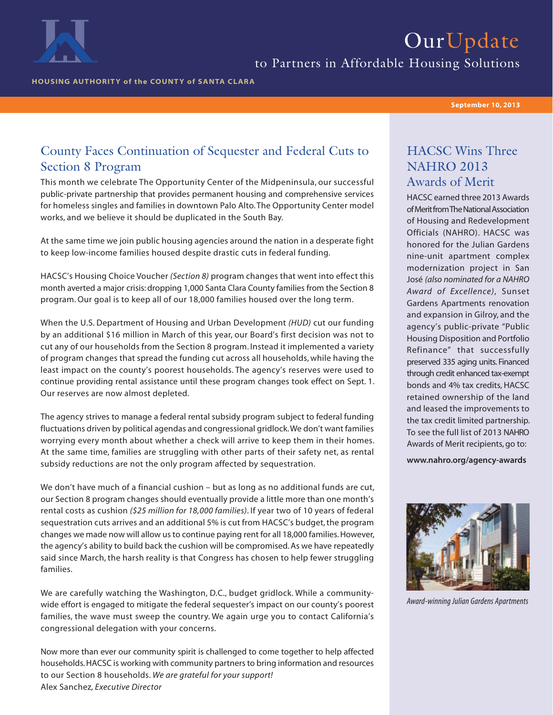

# OurUpdate

to Partners in Affordable Housing Solutions

**HOUSING AUTHORITY of the COUNTY of SANTA CLARA**

**September 10, 2013**

#### County Faces Continuation of Sequester and Federal Cuts to Section 8 Program

This month we celebrate The Opportunity Center of the Midpeninsula, our successful public-private partnership that provides permanent housing and comprehensive services for homeless singles and families in downtown Palo Alto.The Opportunity Center model works, and we believe it should be duplicated in the South Bay.

At the same time we join public housing agencies around the nation in a desperate fight to keep low-income families housed despite drastic cuts in federal funding.

HACSC's Housing Choice Voucher (Section 8) program changes that went into effect this month averted a major crisis: dropping 1,000 Santa Clara County families from the Section 8 program. Our goal is to keep all of our 18,000 families housed over the long term.

When the U.S. Department of Housing and Urban Development (HUD) cut our funding by an additional \$16 million in March of this year, our Board's first decision was not to cut any of our households from the Section 8 program. Instead it implemented a variety of program changes that spread the funding cut across all households, while having the least impact on the county's poorest households. The agency's reserves were used to continue providing rental assistance until these program changes took effect on Sept. 1. Our reserves are now almost depleted.

The agency strives to manage a federal rental subsidy program subject to federal funding fluctuations driven by political agendas and congressional gridlock.We don't want families worrying every month about whether a check will arrive to keep them in their homes. At the same time, families are struggling with other parts of their safety net, as rental subsidy reductions are not the only program affected by sequestration.

We don't have much of a financial cushion - but as long as no additional funds are cut, our Section 8 program changes should eventually provide a little more than one month's rental costs as cushion (\$25 million for 18,000 families). If year two of 10 years of federal sequestration cuts arrives and an additional 5% is cut from HACSC's budget, the program changes we made now will allow us to continue paying rent for all 18,000 families. However, the agency's ability to build back the cushion will be compromised.As we have repeatedly said since March, the harsh reality is that Congress has chosen to help fewer struggling families.

We are carefully watching the Washington, D.C., budget gridlock. While a communitywide effort is engaged to mitigate the federal sequester's impact on our county's poorest families, the wave must sweep the country. We again urge you to contact California's congressional delegation with your concerns.

Now more than ever our community spirit is challenged to come together to help affected households.HACSC is working with community partnersto bring information and resources to our Section 8 households. We are grateful for your support! Alex Sanchez, Executive Director

#### HACSC Wins Three NAHRO 2013 Awards of Merit

HACSC earned three 2013 Awards of Merit from The National Association of Housing and Redevelopment Officials (NAHRO). HACSC was honored for the Julian Gardens nine-unit apartment complex modernization project in San José (also nominated for a NAHRO Award of Excellence), Sunset Gardens Apartments renovation and expansion in Gilroy, and the agency's public-private "Public Housing Disposition and Portfolio Refinance" that successfully preserved 335 aging units. Financed through credit enhanced tax-exempt bonds and 4% tax credits, HACSC retained ownership of the land and leased the improvements to the tax credit limited partnership. To see the full list of 2013 NAHRO Awards of Merit recipients, go to:

**www.nahro.org/agency-awards**



Award-winning Julian Gardens Apartments